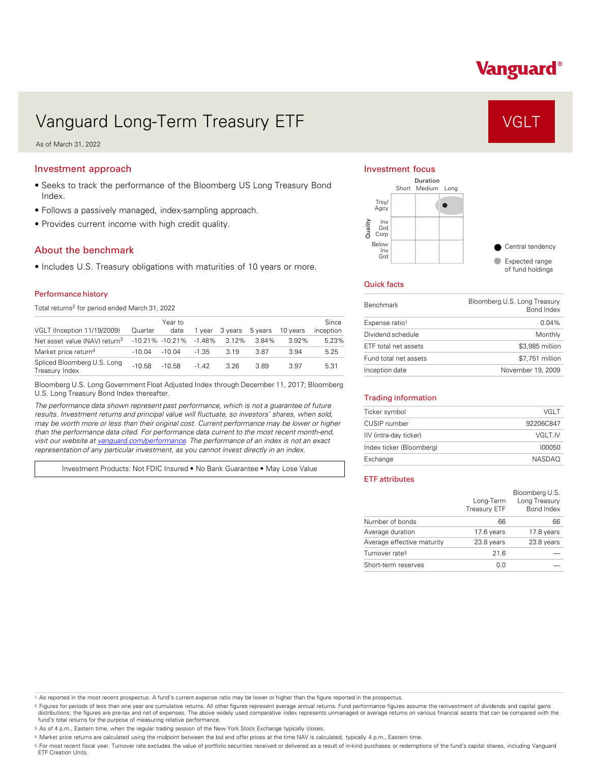# Vanguard®

# Vanguard Long-Term Treasury ETF VGLT

As of March 31, 2022

# Investment approach

- Seeks to track the performance of the Bloomberg US Long Treasury Bond Index.
- Follows a passively managed, index-sampling approach.
- Provides current income with high credit quality.

## About the benchmark

• Includes U.S. Treasury obligations with maturities of 10 years or more.

#### Performance history

Total returns<sup>2</sup> for period ended March 31, 2022

| VGLT (Inception 11/19/2009)                   | Quarter  | Year to<br>date     | 1 vear    | 3 vears | 5 years | 10 years | Since<br>inception |
|-----------------------------------------------|----------|---------------------|-----------|---------|---------|----------|--------------------|
| Net asset value (NAV) return <sup>3</sup>     |          | $-10.21\% -10.21\%$ | $-1.48\%$ | 3.12%   | 3.84%   | 3.92%    | 5.23%              |
| Market price return <sup>4</sup>              | $-10.04$ | $-10.04$            | $-1.35$   | 3.19    | 3.87    | 3.94     | 5.25               |
| Spliced Bloomberg U.S. Long<br>Treasury Index | $-10.58$ | $-10.58$            | $-1.42$   | 3.26    | 3.89    | 3.97     | 5.31               |

Bloomberg U.S. Long Government Float Adjusted Index through December 11, 2017; Bloomberg U.S. Long Treasury Bond Index thereafter.

*The performance data shown represent past performance, which is not a guarantee of future results. Investment returns and principal value will fluctuate, so investors' shares, when sold, may be worth more or less than their original cost. Current performance may be lower or higher than the performance data cited. For performance data current to the most recent month-end, visit our website at [vanguard.com/performance .](http://www.vanguard.com/performance) The performance of an index is not an exact representation of any particular investment, as you cannot invest directly in an index.* 

Investment Products: Not FDIC Insured • No Bank Guarantee • May Lose Value

#### Investment focus



### Quick facts

| <b>Benchmark</b>      | Bloomberg U.S. Long Treasury<br><b>Bond Index</b> |
|-----------------------|---------------------------------------------------|
| Expense ratio1        | $0.04\%$                                          |
| Dividend schedule     | Monthly                                           |
| ETF total net assets  | \$3,985 million                                   |
| Fund total net assets | \$7.751 million                                   |
| Inception date        | November 19, 2009                                 |

#### Trading information

| Ticker symbol            | VGI T         |
|--------------------------|---------------|
| CUSIP number             | 92206C847     |
| IIV (intra-day ticker)   | VGLT.IV       |
| Index ticker (Bloomberg) | 100050        |
| Exchange                 | <b>NASDAO</b> |

### ETF attributes

|                            | Long-Term<br>Treasury ETF | Bloomberg U.S.<br>Long Treasury<br>Bond Index |
|----------------------------|---------------------------|-----------------------------------------------|
| Number of bonds            | 66                        | 66                                            |
| Average duration           | 17.6 years                | 17.8 years                                    |
| Average effective maturity | 23.8 years                | 23.8 years                                    |
| Turnover rate <sup>5</sup> | 21.6                      |                                               |
| Short-term reserves        | 0.0                       |                                               |

1. As reported in the most recent prospectus. A fund's current expense ratio may be lower or higher than the figure reported in the prospectus.

2. Figures for periods of less than one year are cumulative returns. All other figures represent average annual returns. Fund performance figures assume the reinvestment of dividends and capital gains distributions; the figures are pre-tax and net of expenses. The above widely used comparative index represents unmanaged or average returns on various financial assets that can be compared with the<br>fund's total returns for

3. As of 4 p.m., Eastern time, when the regular trading session of the New York Stock Exchange typically closes.

4. Market price returns are calculated using the midpoint between the bid and offer prices at the time NAV is calculated, typically 4 p.m., Eastern time.

<sup>5.</sup> For most recent fiscal year. Turnover rate excludes the value of portfolio securities received or delivered as a result of in-kind purchases or redemptions of the fund's capital shares, including Vanguard<br>ETF Creation